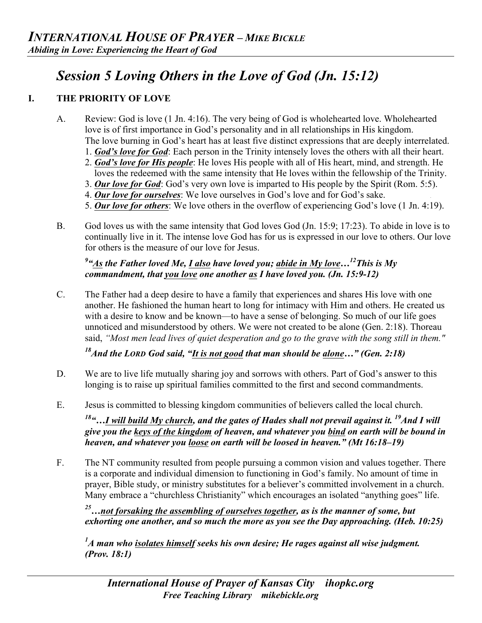# *Session 5 Loving Others in the Love of God (Jn. 15:12)*

## **I. THE PRIORITY OF LOVE**

- A. Review: God is love (1 Jn. 4:16). The very being of God is wholehearted love. Wholehearted love is of first importance in God's personality and in all relationships in His kingdom. The love burning in God's heart has at least five distinct expressions that are deeply interrelated.
	- 1. *God's love for God*: Each person in the Trinity intensely loves the others with all their heart.
	- 2. *God's love for His people*: He loves His people with all of His heart, mind, and strength. He loves the redeemed with the same intensity that He loves within the fellowship of the Trinity.
	- 3. *Our love for God*: God's very own love is imparted to His people by the Spirit (Rom. 5:5).
	- 4. *Our love for ourselves*: We love ourselves in God's love and for God's sake. .
	- 5. *Our love for others*: We love others in the overflow of experiencing God's love (1 Jn. 4:19).
- B. God loves us with the same intensity that God loves God (Jn. 15:9; 17:23). To abide in love is to continually live in it. The intense love God has for us is expressed in our love to others. Our love for others is the measure of our love for Jesus.

# *9 "As the Father loved Me, I also have loved you; abide in My love…12This is My commandment, that you love one another as I have loved you. (Jn. 15:9-12)*

C. The Father had a deep desire to have a family that experiences and shares His love with one another. He fashioned the human heart to long for intimacy with Him and others. He created us with a desire to know and be known—to have a sense of belonging. So much of our life goes unnoticed and misunderstood by others. We were not created to be alone (Gen. 2:18). Thoreau said, *"Most men lead lives of quiet desperation and go to the grave with the song still in them."*

*18And the LORD God said, "It is not good that man should be alone…" (Gen. 2:18)*

- D. We are to live life mutually sharing joy and sorrows with others. Part of God's answer to this longing is to raise up spiritual families committed to the first and second commandments.
- E. Jesus is committed to blessing kingdom communities of believers called the local church.

*18"…I will build My church, and the gates of Hades shall not prevail against it. 19And I will give you the keys of the kingdom of heaven, and whatever you bind on earth will be bound in heaven, and whatever you loose on earth will be loosed in heaven." (Mt 16:18–19)*

F. The NT community resulted from people pursuing a common vision and values together. There is a corporate and individual dimension to functioning in God's family. No amount of time in prayer, Bible study, or ministry substitutes for a believer's committed involvement in a church. Many embrace a "churchless Christianity" which encourages an isolated "anything goes" life.

*25…not forsaking the assembling of ourselves together, as is the manner of some, but exhorting one another, and so much the more as you see the Day approaching. (Heb. 10:25)*

*1 A man who isolates himself seeks his own desire; He rages against all wise judgment. (Prov. 18:1)*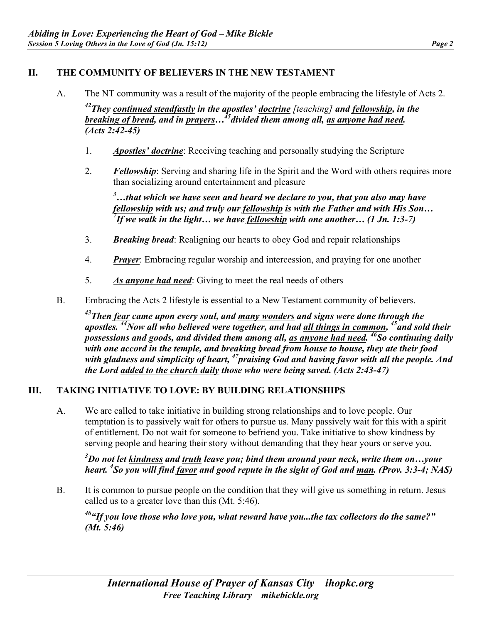## **II. THE COMMUNITY OF BELIEVERS IN THE NEW TESTAMENT**

A. The NT community was a result of the majority of the people embracing the lifestyle of Acts 2.

*42They continued steadfastly in the apostles' doctrine [teaching] and fellowship, in the breaking of bread, and in prayers...*<sup>45</sup> divided them among all, as anyone had need. *(Acts 2:42-45)*

- 1. *Apostles' doctrine*: Receiving teaching and personally studying the Scripture
- 2. *Fellowship*: Serving and sharing life in the Spirit and the Word with others requires more than socializing around entertainment and pleasure

*3 …that which we have seen and heard we declare to you, that you also may have fellowship with us; and truly our fellowship is with the Father and with His Son… 7 If we walk in the light… we have fellowship with one another… (1 Jn. 1:3-7)* 

- 3. *Breaking bread*: Realigning our hearts to obey God and repair relationships
- 4. *Prayer*: Embracing regular worship and intercession, and praying for one another
- 5. *As anyone had need*: Giving to meet the real needs of others
- B. Embracing the Acts 2 lifestyle is essential to a New Testament community of believers.

*43Then fear came upon every soul, and many wonders and signs were done through the*  apostles.<sup>44</sup>Now all who believed were together, and had all things in common, <sup>45</sup> and sold their *possessions and goods, and divided them among all, as anyone had need. 46So continuing daily with one accord in the temple, and breaking bread from house to house, they ate their food with gladness and simplicity of heart, 47praising God and having favor with all the people. And the Lord added to the church daily those who were being saved. (Acts 2:43-47)*

#### **III. TAKING INITIATIVE TO LOVE: BY BUILDING RELATIONSHIPS**

A. We are called to take initiative in building strong relationships and to love people. Our temptation is to passively wait for others to pursue us. Many passively wait for this with a spirit of entitlement. Do not wait for someone to befriend you. Take initiative to show kindness by serving people and hearing their story without demanding that they hear yours or serve you.

*3 Do not let kindness and truth leave you; bind them around your neck, write them on…your heart. 4 So you will find favor and good repute in the sight of God and man. (Prov. 3:3-4; NAS)*

B. It is common to pursue people on the condition that they will give us something in return. Jesus called us to a greater love than this (Mt. 5:46).

*46"If you love those who love you, what reward have you...the tax collectors do the same?" (Mt. 5:46)*